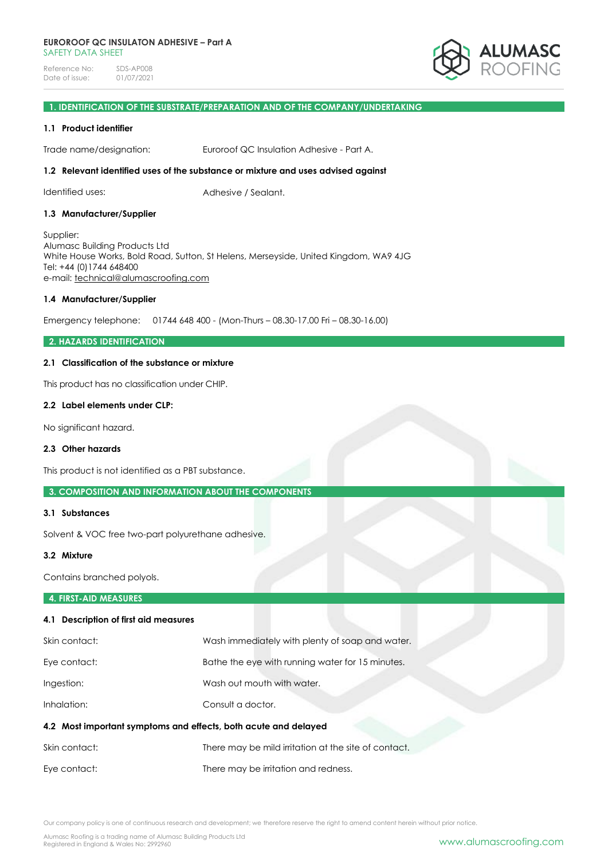

# **1. IDENTIFICATION OF THE SUBSTRATE/PREPARATION AND OF THE COMPANY/UNDERTAKING**

#### **1.1 Product identifier**

Trade name/designation: Euroroof QC Insulation Adhesive - Part A.

### **1.2 Relevant identified uses of the substance or mixture and uses advised against**

Identified uses: Adhesive / Sealant.

#### **1.3 Manufacturer/Supplier**

Supplier: Alumasc Building Products Ltd White House Works, Bold Road, Sutton, St Helens, Merseyside, United Kingdom, WA9 4JG Tel: +44 (0)1744 648400 e-mail: [technical@alumascroofing.com](mailto:technical@alumascroofing.com)

#### **1.4 Manufacturer/Supplier**

Emergency telephone: 01744 648 400 - (Mon-Thurs – 08.30-17.00 Fri – 08.30-16.00)

### **2. HAZARDS IDENTIFICATION**

# **2.1 Classification of the substance or mixture**

This product has no classification under CHIP.

#### **2.2 Label elements under CLP:**

No significant hazard.

#### **2.3 Other hazards**

This product is not identified as a PBT substance.

### **3. COMPOSITION AND INFORMATION ABOUT THE COMPONENTS**

#### **3.1 Substances**

Solvent & VOC free two-part polyurethane adhesive.

#### **3.2 Mixture**

Contains branched polyols.

#### **4. FIRST-AID MEASURES**

# **4.1 Description of first aid measures**

| Skin contact:                                                   | Wash immediately with plenty of soap and water.      |  |
|-----------------------------------------------------------------|------------------------------------------------------|--|
| Eye contact:                                                    | Bathe the eye with running water for 15 minutes.     |  |
| Ingestion:                                                      | Wash out mouth with water.                           |  |
| Inhalation:                                                     | Consult a doctor.                                    |  |
| 4.2 Most important symptoms and effects, both acute and delayed |                                                      |  |
| Skin contact:                                                   | There may be mild irritation at the site of contact. |  |
| Eye contact:                                                    | There may be irritation and redness.                 |  |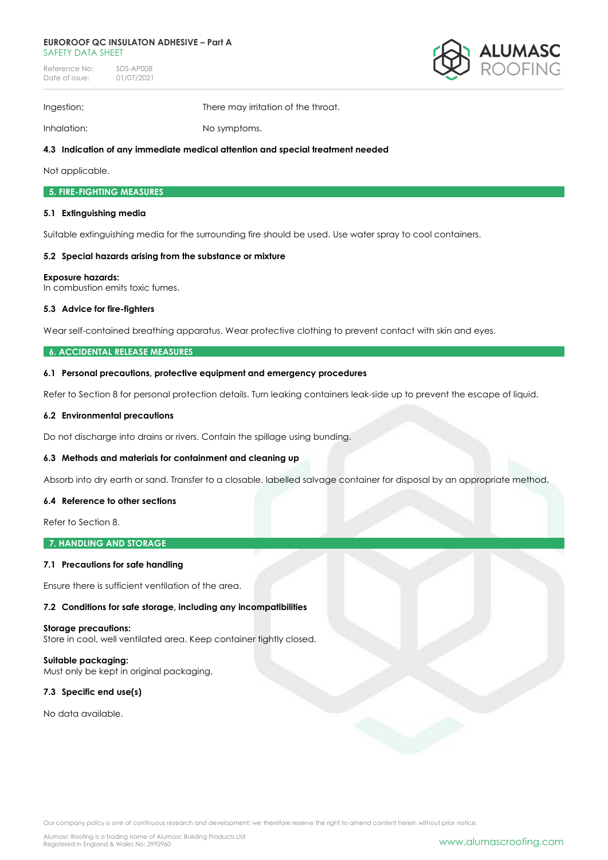#### **EUROROOF QC INSULATON ADHESIVE – Part A** SAFETY DATA SHFFT

Reference No: SDS-AP008<br>Date of issue: 01/07/2021 Date of issue:



Ingestion: There may irritation of the throat.

Inhalation: No symptoms.

# **4.3 Indication of any immediate medical attention and special treatment needed**

Not applicable.

# **5. FIRE-FIGHTING MEASURES**

# **5.1 Extinguishing media**

Suitable extinguishing media for the surrounding fire should be used. Use water spray to cool containers.

# **5.2 Special hazards arising from the substance or mixture**

# **Exposure hazards:**

In combustion emits toxic fumes.

# **5.3 Advice for fire-fighters**

Wear self-contained breathing apparatus. Wear protective clothing to prevent contact with skin and eyes.

# **6. ACCIDENTAL RELEASE MEASURES**

# **6.1 Personal precautions, protective equipment and emergency procedures**

Refer to Section 8 for personal protection details. Turn leaking containers leak-side up to prevent the escape of liquid.

# **6.2 Environmental precautions**

Do not discharge into drains or rivers. Contain the spillage using bunding.

# **6.3 Methods and materials for containment and cleaning up**

Absorb into dry earth or sand. Transfer to a closable, labelled salvage container for disposal by an appropriate method.

### **6.4 Reference to other sections**

Refer to Section 8.

**7. HANDLING AND STORAGE**

# **7.1 Precautions for safe handling**

Ensure there is sufficient ventilation of the area.

**7.2 Conditions for safe storage, including any incompatibilities** 

### **Storage precautions:**

Store in cool, well ventilated area. Keep container tightly closed.

**Suitable packaging:** Must only be kept in original packaging.

# **7.3 Specific end use(s)**

No data available.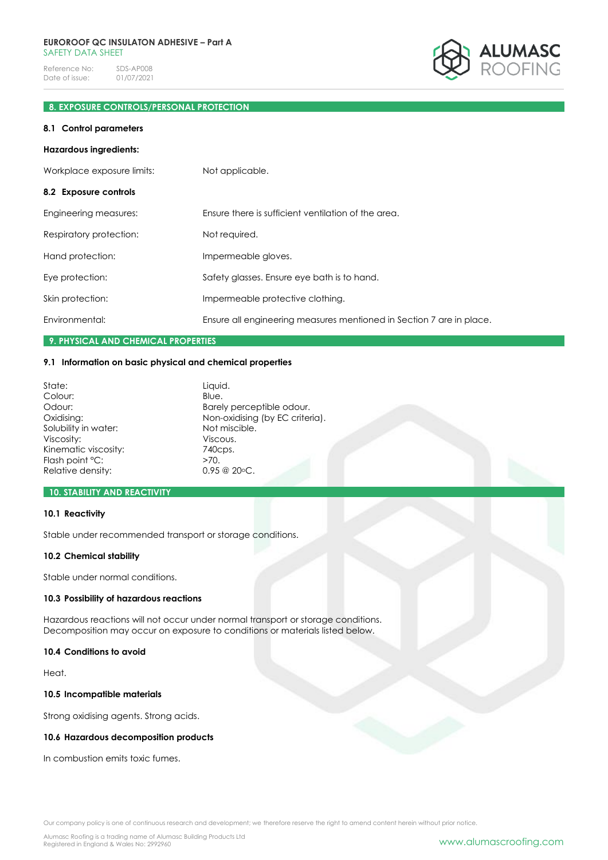

# **8. EXPOSURE CONTROLS/PERSONAL PROTECTION**

#### **8.1 Control parameters**

#### **Hazardous ingredients:**

| Workplace exposure limits: | Not applicable.                                                      |
|----------------------------|----------------------------------------------------------------------|
| 8.2 Exposure controls      |                                                                      |
| Engineering measures:      | Ensure there is sufficient ventilation of the area.                  |
| Respiratory protection:    | Not required.                                                        |
| Hand protection:           | Impermeable gloves.                                                  |
| Eye protection:            | Safety glasses. Ensure eye bath is to hand.                          |
| Skin protection:           | Impermeable protective clothing.                                     |
| Environmental:             | Ensure all engineering measures mentioned in Section 7 are in place. |

# **9. PHYSICAL AND CHEMICAL PROPERTIES**

# **9.1 Information on basic physical and chemical properties**

| Liquid.<br>Blue.                |
|---------------------------------|
| Barely perceptible odour.       |
| Non-oxidising (by EC criteria). |
| Not miscible.                   |
| Viscous.                        |
| 740cps.                         |
| >70.                            |
| $0.95 \ @ \ 20 \circ C.$        |
|                                 |

# **10. STABILITY AND REACTIVITY**

# **10.1 Reactivity**

Stable under recommended transport or storage conditions.

#### **10.2 Chemical stability**

Stable under normal conditions.

#### **10.3 Possibility of hazardous reactions**

Hazardous reactions will not occur under normal transport or storage conditions. Decomposition may occur on exposure to conditions or materials listed below.

# **10.4 Conditions to avoid**

Heat.

### **10.5 Incompatible materials**

Strong oxidising agents. Strong acids.

### **10.6 Hazardous decomposition products**

In combustion emits toxic fumes.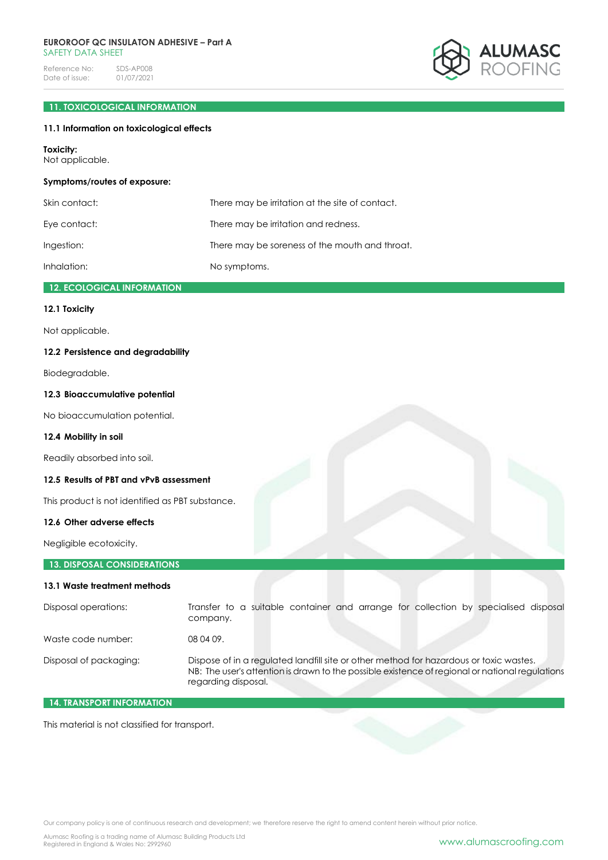#### **EUROROOF QC INSULATON ADHESIVE – Part A** SAFFTY DATA SHFFT

Reference No: SDS-AP008<br>Date of issue: 01/07/2021 Date of issue:

# **11. TOXICOLOGICAL INFORMATION**

# **11.1 Information on toxicological effects**

#### **Toxicity:**

Not applicable.

# **Symptoms/routes of exposure:**

| Skin contact: | There may be irritation at the site of contact. |
|---------------|-------------------------------------------------|
| Eye contact:  | There may be irritation and redness.            |
| Ingestion:    | There may be soreness of the mouth and throat.  |
| Inhalation:   | No symptoms.                                    |

# **12. ECOLOGICAL INFORMATION**

# **12.1 Toxicity**

Not applicable.

# **12.2 Persistence and degradability**

Biodegradable.

### **12.3 Bioaccumulative potential**

No bioaccumulation potential.

# **12.4 Mobility in soil**

Readily absorbed into soil.

# **12.5 Results of PBT and vPvB assessment**

This product is not identified as PBT substance.

# **12.6 Other adverse effects**

Negligible ecotoxicity.

# **13. DISPOSAL CONSIDERATIONS 13.1 Waste treatment methods**

| Disposal operations:   | Transfer to a suitable container and arrange for collection by specialised disposal<br>company.                                                                                                                  |
|------------------------|------------------------------------------------------------------------------------------------------------------------------------------------------------------------------------------------------------------|
| Waste code number:     | 08 04 09.                                                                                                                                                                                                        |
| Disposal of packaging: | Dispose of in a regulated landfill site or other method for hazardous or toxic wastes.<br>NB: The user's attention is drawn to the possible existence of regional or national regulations<br>regarding disposal. |

# **14. TRANSPORT INFORMATION**

This material is not classified for transport.

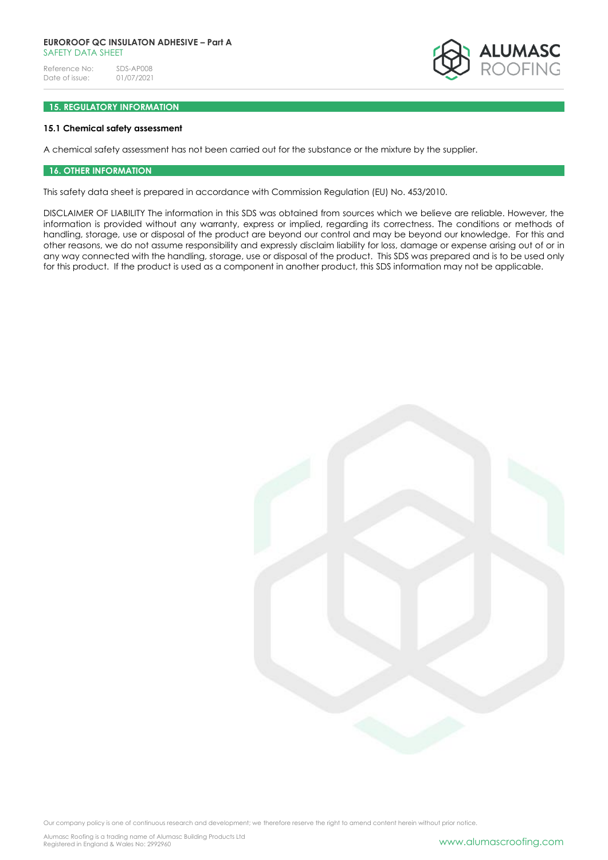### **EUROROOF QC INSULATON ADHESIVE – Part A** SAFFTY DATA SHFFT

Reference No: SDS-AP008<br>Date of issue: 01/07/2021 Date of issue:



# **15. REGULATORY INFORMATION**

#### **15.1 Chemical safety assessment**

A chemical safety assessment has not been carried out for the substance or the mixture by the supplier.

#### **16. OTHER INFORMATION**

This safety data sheet is prepared in accordance with Commission Regulation (EU) No. 453/2010.

DISCLAIMER OF LIABILITY The information in this SDS was obtained from sources which we believe are reliable. However, the information is provided without any warranty, express or implied, regarding its correctness. The conditions or methods of handling, storage, use or disposal of the product are beyond our control and may be beyond our knowledge. For this and other reasons, we do not assume responsibility and expressly disclaim liability for loss, damage or expense arising out of or in any way connected with the handling, storage, use or disposal of the product. This SDS was prepared and is to be used only for this product. If the product is used as a component in another product, this SDS information may not be applicable.

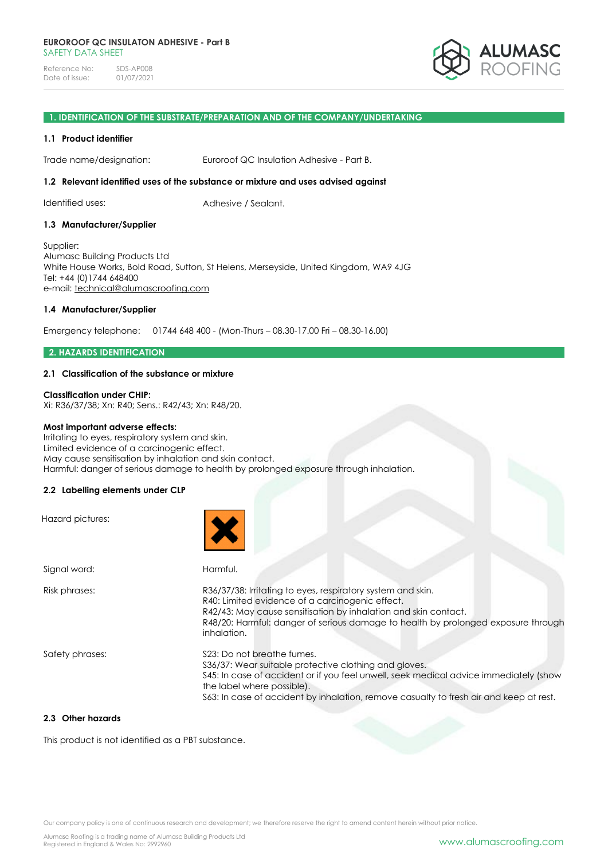

### **1. IDENTIFICATION OF THE SUBSTRATE/PREPARATION AND OF THE COMPANY/UNDERTAKING**

#### **1.1 Product identifier**

Trade name/designation: Euroroof QC Insulation Adhesive - Part B.

#### **1.2 Relevant identified uses of the substance or mixture and uses advised against**

Identified uses: Adhesive / Sealant.

#### **1.3 Manufacturer/Supplier**

Supplier: Alumasc Building Products Ltd White House Works, Bold Road, Sutton, St Helens, Merseyside, United Kingdom, WA9 4JG Tel: +44 (0)1744 648400 e-mail: [technical@alumascroofing.com](mailto:technical@alumascroofing.com)

# **1.4 Manufacturer/Supplier**

Emergency telephone: 01744 648 400 - (Mon-Thurs – 08.30-17.00 Fri – 08.30-16.00)

### **2. HAZARDS IDENTIFICATION**

# **2.1 Classification of the substance or mixture**

# **Classification under CHIP:**

Xi: R36/37/38; Xn: R40; Sens.: R42/43; Xn: R48/20.

#### **Most important adverse effects:**

Irritating to eyes, respiratory system and skin. Limited evidence of a carcinogenic effect. May cause sensitisation by inhalation and skin contact. Harmful: danger of serious damage to health by prolonged exposure through inhalation.

### **2.2 Labelling elements under CLP**

| Hazard pictures: |                                                                                                                                                                                                                                                                                                        |
|------------------|--------------------------------------------------------------------------------------------------------------------------------------------------------------------------------------------------------------------------------------------------------------------------------------------------------|
| Signal word:     | Harmful.                                                                                                                                                                                                                                                                                               |
| Risk phrases:    | R36/37/38: Irritating to eyes, respiratory system and skin.<br>R40: Limited evidence of a carcinogenic effect.<br>R42/43: May cause sensitisation by inhalation and skin contact.<br>R48/20: Harmful: danger of serious damage to health by prolonged exposure through<br>inhalation.                  |
| Safety phrases:  | \$23: Do not breathe fumes.<br>S36/37: Wear suitable protective clothing and gloves.<br>\$45: In case of accident or if you feel unwell, seek medical advice immediately (show<br>the label where possible).<br>S63: In case of accident by inhalation, remove casualty to fresh air and keep at rest. |

# **2.3 Other hazards**

This product is not identified as a PBT substance.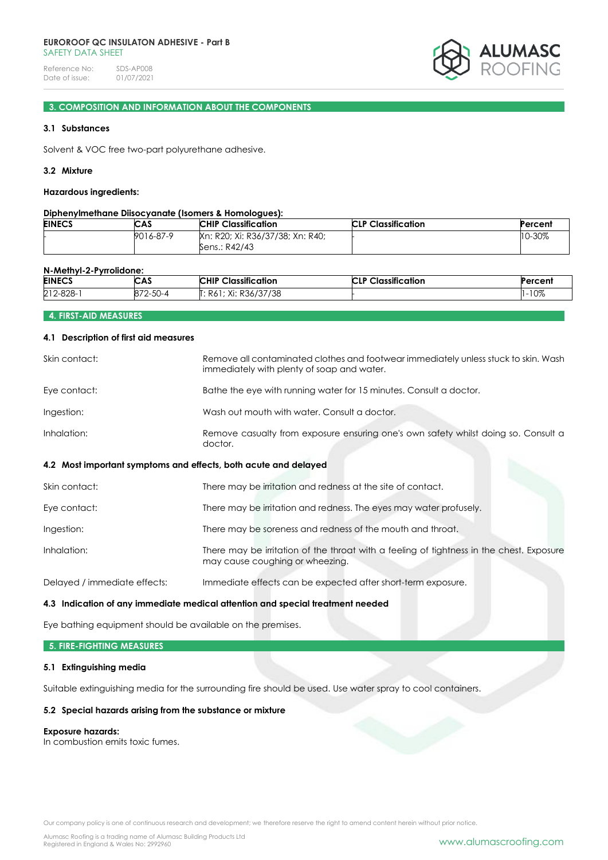#### **EUROROOF QC INSULATON ADHESIVE - Part B** SAFFTY DATA SHFFT

Reference No: SDS-AP008<br>Date of issue: 01/07/2021 Date of issue:



# **3. COMPOSITION AND INFORMATION ABOUT THE COMPONENTS**

### **3.1 Substances**

Solvent & VOC free two-part polyurethane adhesive.

# **3.2 Mixture**

#### **Hazardous ingredients:**

# **Diphenylmethane Diisocyanate (Isomers & Homologues):**

| <b>EINECS</b> | CAS       | <b>CHIP Classification</b>                        | <b>CLP Classification</b> | Percent    |
|---------------|-----------|---------------------------------------------------|---------------------------|------------|
|               | 9016-87-9 | Kn: R20; Xi: R36/37/38; Xn: R40;<br>Sens.: R42/43 |                           | $10 - 30%$ |

# **N-Methyl-2-Pyrrolidone:**

| <b>EINECS</b> | <b>CAS</b>       | <b>Classification</b><br><b>CHIP</b> | assification<br>CID<br>⊶la•∶<br>◡∟ | ercent |
|---------------|------------------|--------------------------------------|------------------------------------|--------|
| 212-828-      | 50<br>$-1$<br>◡◡ | Xi: R36/37/38<br>K6I.                |                                    | $-10%$ |

# **4. FIRST-AID MEASURES**

#### **4.1 Description of first aid measures**

| Skin contact:                                                   | Remove all contaminated clothes and footwear immediately unless stuck to skin. Wash<br>immediately with plenty of soap and water. |
|-----------------------------------------------------------------|-----------------------------------------------------------------------------------------------------------------------------------|
| Eye contact:                                                    | Bathe the eye with running water for 15 minutes. Consult a doctor.                                                                |
| Ingestion:                                                      | Wash out mouth with water. Consult a doctor.                                                                                      |
| Inhalation:                                                     | Remove casualty from exposure ensuring one's own safety whilst doing so. Consult a<br>doctor.                                     |
| 4.2 Most important symptoms and effects, both acute and delayed |                                                                                                                                   |
|                                                                 |                                                                                                                                   |
| Skin contact:                                                   | There may be irritation and redness at the site of contact.                                                                       |
| Eye contact:                                                    | There may be irritation and redness. The eyes may water profusely.                                                                |
| Ingestion:                                                      | There may be soreness and redness of the mouth and throat.                                                                        |

Delayed / immediate effects: Immediate effects can be expected after short-term exposure.

#### **4.3 Indication of any immediate medical attention and special treatment needed**

Eye bathing equipment should be available on the premises.

# **5. FIRE-FIGHTING MEASURES**

### **5.1 Extinguishing media**

Suitable extinguishing media for the surrounding fire should be used. Use water spray to cool containers.

# **5.2 Special hazards arising from the substance or mixture**

#### **Exposure hazards:**

In combustion emits toxic fumes.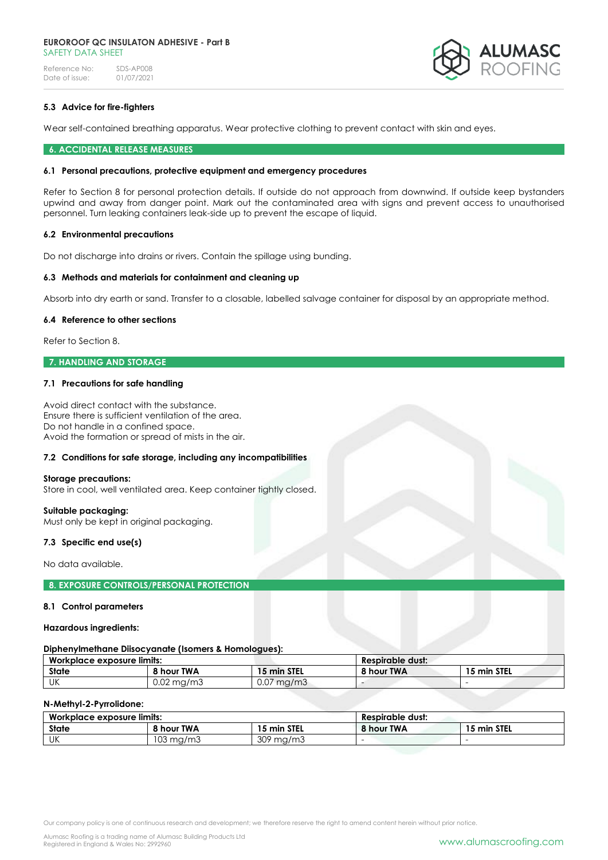#### **EUROROOF QC INSULATON ADHESIVE - Part B** SAFETY DATA SHEET

Reference No: SDS-AP008<br>Date of issue: 01/07/2021 Date of issue:



# **5.3 Advice for fire-fighters**

Wear self-contained breathing apparatus. Wear protective clothing to prevent contact with skin and eyes.

#### **6. ACCIDENTAL RELEASE MEASURES**

#### **6.1 Personal precautions, protective equipment and emergency procedures**

Refer to Section 8 for personal protection details. If outside do not approach from downwind. If outside keep bystanders upwind and away from danger point. Mark out the contaminated area with signs and prevent access to unauthorised personnel. Turn leaking containers leak-side up to prevent the escape of liquid.

#### **6.2 Environmental precautions**

Do not discharge into drains or rivers. Contain the spillage using bunding.

#### **6.3 Methods and materials for containment and cleaning up**

Absorb into dry earth or sand. Transfer to a closable, labelled salvage container for disposal by an appropriate method.

#### **6.4 Reference to other sections**

Refer to Section 8.

# **7. HANDLING AND STORAGE**

#### **7.1 Precautions for safe handling**

Avoid direct contact with the substance. Ensure there is sufficient ventilation of the area. Do not handle in a confined space. Avoid the formation or spread of mists in the air.

### **7.2 Conditions for safe storage, including any incompatibilities**

#### **Storage precautions:**

Store in cool, well ventilated area. Keep container tightly closed.

#### **Suitable packaging:**

Must only be kept in original packaging.

### **7.3 Specific end use(s)**

No data available.

# **8. EXPOSURE CONTROLS/PERSONAL PROTECTION**

#### **8.1 Control parameters**

#### **Hazardous ingredients:**

#### **Diphenylmethane Diisocyanate (Isomers & Homologues):**

| Workplace exposure limits: |            | <b>Respirable dust:</b> |            |             |
|----------------------------|------------|-------------------------|------------|-------------|
| <b>State</b>               | 8 hour TWA | 15 min STEL             | 8 hour TWA | 15 min STEL |
| UK                         | 0.02 ma/m3 | $0.07 \text{ ma/m}$ 3   |            |             |

### **N-Methyl-2-Pyrrolidone:**

| Workplace exposure limits: |                   | Respirable dust:      |            |             |
|----------------------------|-------------------|-----------------------|------------|-------------|
| State                      | <b>8 hour TWA</b> | 15 min STEL           | 8 hour TWA | 15 min STEL |
| UK                         | 103 ma/m3         | م∪≿<br>`ma/mu<br>, טט |            |             |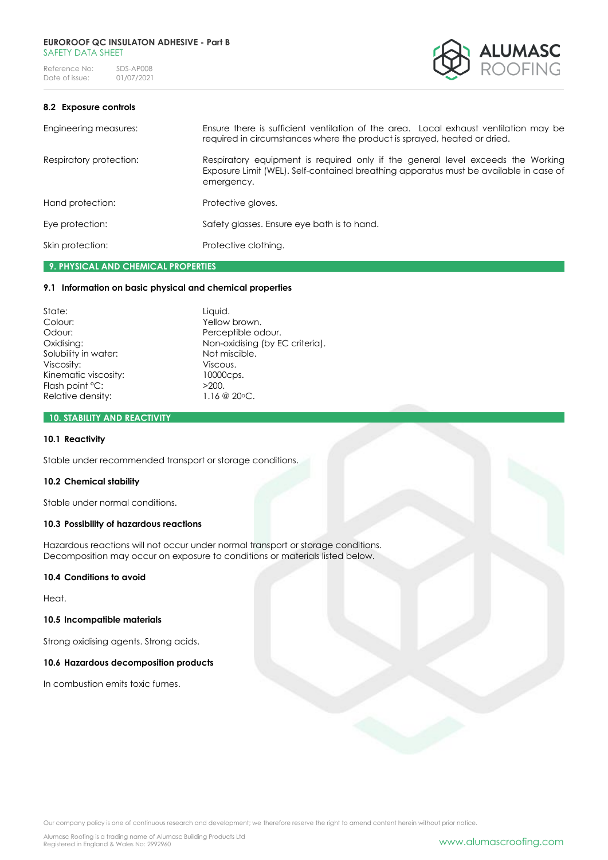

# **8.2 Exposure controls**

| Engineering measures:   | Ensure there is sufficient ventilation of the area. Local exhaust ventilation may be<br>required in circumstances where the product is sprayed, heated or dried.                       |
|-------------------------|----------------------------------------------------------------------------------------------------------------------------------------------------------------------------------------|
| Respiratory protection: | Respiratory equipment is required only if the general level exceeds the Working<br>Exposure Limit (WEL). Self-contained breathing apparatus must be available in case of<br>emergency. |
| Hand protection:        | Protective gloves.                                                                                                                                                                     |
| Eye protection:         | Safety glasses. Ensure eye bath is to hand.                                                                                                                                            |
| Skin protection:        | Protective clothing.                                                                                                                                                                   |
|                         |                                                                                                                                                                                        |

# **9. PHYSICAL AND CHEMICAL PROPERTIES**

# **9.1 Information on basic physical and chemical properties**

State: Liquid. Colour: Yellow brown. Odour: Perceptible odour. Solubility in water: Not miscle Not miscle Not miscle Not miscle Not miscle Not miscle Not miscle Not miscle.<br>Viscous. Viscosity: Kinematic viscosity: 10000cps. Flash point °C:  $>200$ . Relative density: 1.16 @ 20 °C.

Oxidising: Non-oxidising (by EC criteria).<br>
Solubility in water: Not miscible.

### **10. STABILITY AND REACTIVITY**

### **10.1 Reactivity**

Stable under recommended transport or storage conditions.

#### **10.2 Chemical stability**

Stable under normal conditions.

#### **10.3 Possibility of hazardous reactions**

Hazardous reactions will not occur under normal transport or storage conditions. Decomposition may occur on exposure to conditions or materials listed below.

#### **10.4 Conditions to avoid**

Heat.

# **10.5 Incompatible materials**

Strong oxidising agents. Strong acids.

# **10.6 Hazardous decomposition products**

In combustion emits toxic fumes.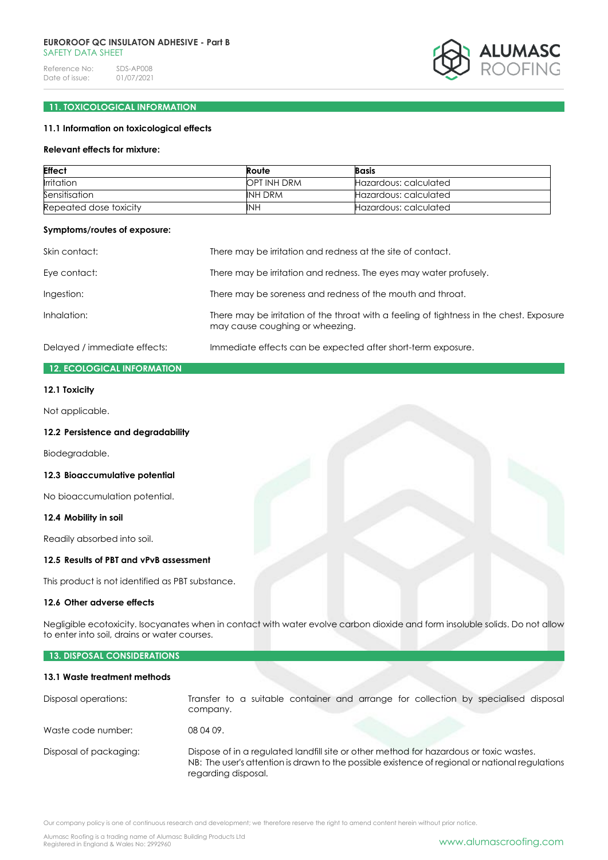# **EUROROOF QC INSULATON ADHESIVE - Part B** SAFFTY DATA SHFFT

Reference No: SDS-AP008<br>Date of issue: 01/07/2021 Date of issue:



# **11. TOXICOLOGICAL INFORMATION**

# **11.1 Information on toxicological effects**

### **Relevant effects for mixture:**

| <b>Effect</b>          | Route       | <b>Basis</b>          |
|------------------------|-------------|-----------------------|
| <b>Irritation</b>      | OPT INH DRM | Hazardous: calculated |
| Sensitisation          | INH DRM     | Hazardous: calculated |
| Repeated dose toxicity | <b>INH</b>  | Hazardous: calculated |

# **Symptoms/routes of exposure:**

| Skin contact:                | There may be irritation and redness at the site of contact.                                                                 |
|------------------------------|-----------------------------------------------------------------------------------------------------------------------------|
| Eye contact:                 | There may be irritation and redness. The eyes may water profusely.                                                          |
| Ingestion:                   | There may be soreness and redness of the mouth and throat.                                                                  |
| Inhalation:                  | There may be irritation of the throat with a feeling of tightness in the chest. Exposure<br>may cause coughing or wheezing. |
| Delayed / immediate effects: | Immediate effects can be expected after short-term exposure.                                                                |

# **12. ECOLOGICAL INFORMATION**

### **12.1 Toxicity**

Not applicable.

# **12.2 Persistence and degradability**

Biodegradable.

#### **12.3 Bioaccumulative potential**

No bioaccumulation potential.

#### **12.4 Mobility in soil**

Readily absorbed into soil.

### **12.5 Results of PBT and vPvB assessment**

This product is not identified as PBT substance.

# **12.6 Other adverse effects**

Negligible ecotoxicity. Isocyanates when in contact with water evolve carbon dioxide and form insoluble solids. Do not allow to enter into soil, drains or water courses.

# **13. DISPOSAL CONSIDERATIONS**

# **13.1 Waste treatment methods**

| Disposal operations:   | Transfer to a suitable container and arrange for collection by specialised disposal<br>company.                                                                                                                  |
|------------------------|------------------------------------------------------------------------------------------------------------------------------------------------------------------------------------------------------------------|
| Waste code number:     | 08 04 09.                                                                                                                                                                                                        |
| Disposal of packaging: | Dispose of in a regulated landfill site or other method for hazardous or toxic wastes.<br>NB: The user's attention is drawn to the possible existence of regional or national regulations<br>regarding disposal. |